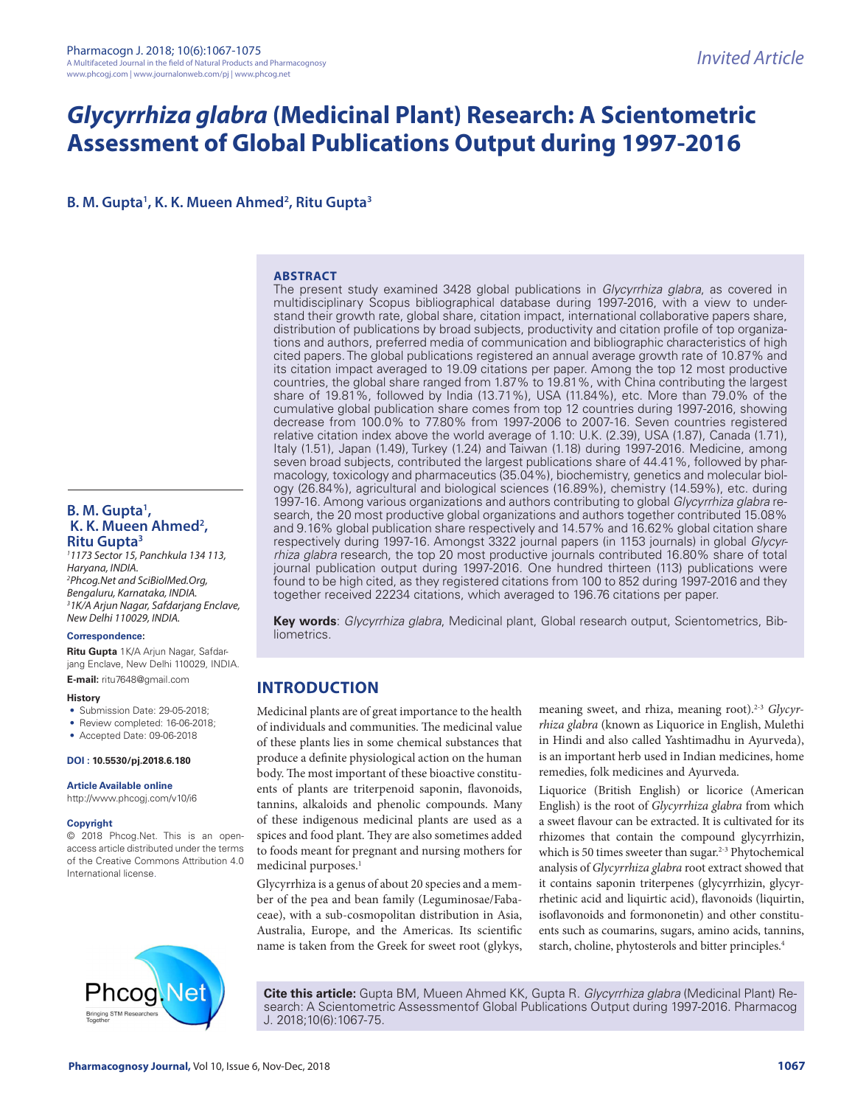# *Glycyrrhiza glabra* **(Medicinal Plant) Research: A Scientometric Assessment of Global Publications Output during 1997-2016**

**B. M. Gupta<sup>1</sup>, K. K. Mueen Ahmed<sup>2</sup>, Ritu Gupta<sup>3</sup>** 

#### **ABSTRACT**

The present study examined 3428 global publications in *Glycyrrhiza glabra*, as covered in multidisciplinary Scopus bibliographical database during 1997-2016, with a view to understand their growth rate, global share, citation impact, international collaborative papers share, distribution of publications by broad subjects, productivity and citation profile of top organizations and authors, preferred media of communication and bibliographic characteristics of high cited papers. The global publications registered an annual average growth rate of 10.87% and its citation impact averaged to 19.09 citations per paper. Among the top 12 most productive countries, the global share ranged from 1.87% to 19.81%, with China contributing the largest share of 19.81%, followed by India (13.71%), USA (11.84%), etc. More than 79.0% of the cumulative global publication share comes from top 12 countries during 1997-2016, showing decrease from 100.0% to 77.80% from 1997-2006 to 2007-16. Seven countries registered relative citation index above the world average of 1.10: U.K. (2.39), USA (1.87), Canada (1.71), Italy (1.51), Japan (1.49), Turkey (1.24) and Taiwan (1.18) during 1997-2016. Medicine, among seven broad subjects, contributed the largest publications share of 44.41%, followed by pharmacology, toxicology and pharmaceutics (35.04%), biochemistry, genetics and molecular biology (26.84%), agricultural and biological sciences (16.89%), chemistry (14.59%), etc. during 1997-16. Among various organizations and authors contributing to global *Glycyrrhiza glabra* research, the 20 most productive global organizations and authors together contributed 15.08% and 9.16% global publication share respectively and 14.57% and 16.62% global citation share respectively during 1997-16. Amongst 3322 journal papers (in 1153 journals) in global *Glycyrrhiza glabra* research, the top 20 most productive journals contributed 16.80% share of total journal publication output during 1997-2016. One hundred thirteen (113) publications were found to be high cited, as they registered citations from 100 to 852 during 1997-2016 and they together received 22234 citations, which averaged to 196.76 citations per paper.

**Key words**: *Glycyrrhiza glabra*, Medicinal plant, Global research output, Scientometrics, Bibliometrics.

# **INTRODUCTION**

Medicinal plants are of great importance to the health of individuals and communities. The medicinal value of these plants lies in some chemical substances that produce a definite physiological action on the human body. The most important of these bioactive constituents of plants are triterpenoid saponin, flavonoids, tannins, alkaloids and phenolic compounds. Many of these indigenous medicinal plants are used as a spices and food plant. They are also sometimes added to foods meant for pregnant and nursing mothers for medicinal purposes.<sup>1</sup>

Glycyrrhiza is a genus of about 20 species and a member of the pea and bean family (Leguminosae/Fabaceae), with a sub-cosmopolitan distribution in Asia, Australia, Europe, and the Americas. Its scientific name is taken from the Greek for sweet root (glykys, meaning sweet, and rhiza, meaning root).<sup>2-3</sup> *Glycyrrhiza glabra* (known as Liquorice in English, Mulethi in Hindi and also called Yashtimadhu in Ayurveda), is an important herb used in Indian medicines, home remedies, folk medicines and Ayurveda.

Liquorice (British English) or licorice (American English) is the root of *Glycyrrhiza glabra* from which a sweet flavour can be extracted. It is cultivated for its rhizomes that contain the compound glycyrrhizin, which is 50 times sweeter than sugar.<sup>2-3</sup> Phytochemical analysis of *Glycyrrhiza glabra* root extract showed that it contains saponin triterpenes (glycyrrhizin, glycyrrhetinic acid and liquirtic acid), flavonoids (liquirtin, isoflavonoids and formononetin) and other constituents such as coumarins, sugars, amino acids, tannins, starch, choline, phytosterols and bitter principles.<sup>4</sup>

Ne1

**Cite this article:** Gupta BM, Mueen Ahmed KK, Gupta R. *Glycyrrhiza glabra* (Medicinal Plant) Research: A Scientometric Assessmentof Global Publications Output during 1997-2016. Pharmacog J. 2018;10(6):1067-75.

**B. M. Gupta1 , K. K. Mueen Ahmed2 , Ritu Gupta3**

*1 1173 Sector 15, Panchkula 134 113, Haryana, INDIA. 2 Phcog.Net and SciBiolMed.Org, Bengaluru, Karnataka, INDIA. 3 1K/A Arjun Nagar, Safdarjang Enclave, New Delhi 110029, INDIA.*

#### **Correspondence:**

**Ritu Gupta** 1K/A Arjun Nagar, Safdarjang Enclave, New Delhi 110029, INDIA. **E-mail:** ritu7648@gmail.com

#### **History**

- Submission Date: 29-05-2018;
- Review completed: 16-06-2018;
- Accepted Date: 09-06-2018

#### **DOI : 10.5530/pj.2018.6.180**

**Article Available online** 

http://www.phcogj.com/v10/i6

#### **Copyright**

© 2018 Phcog.Net. This is an openaccess article distributed under the terms of the Creative Commons Attribution 4.0 International license.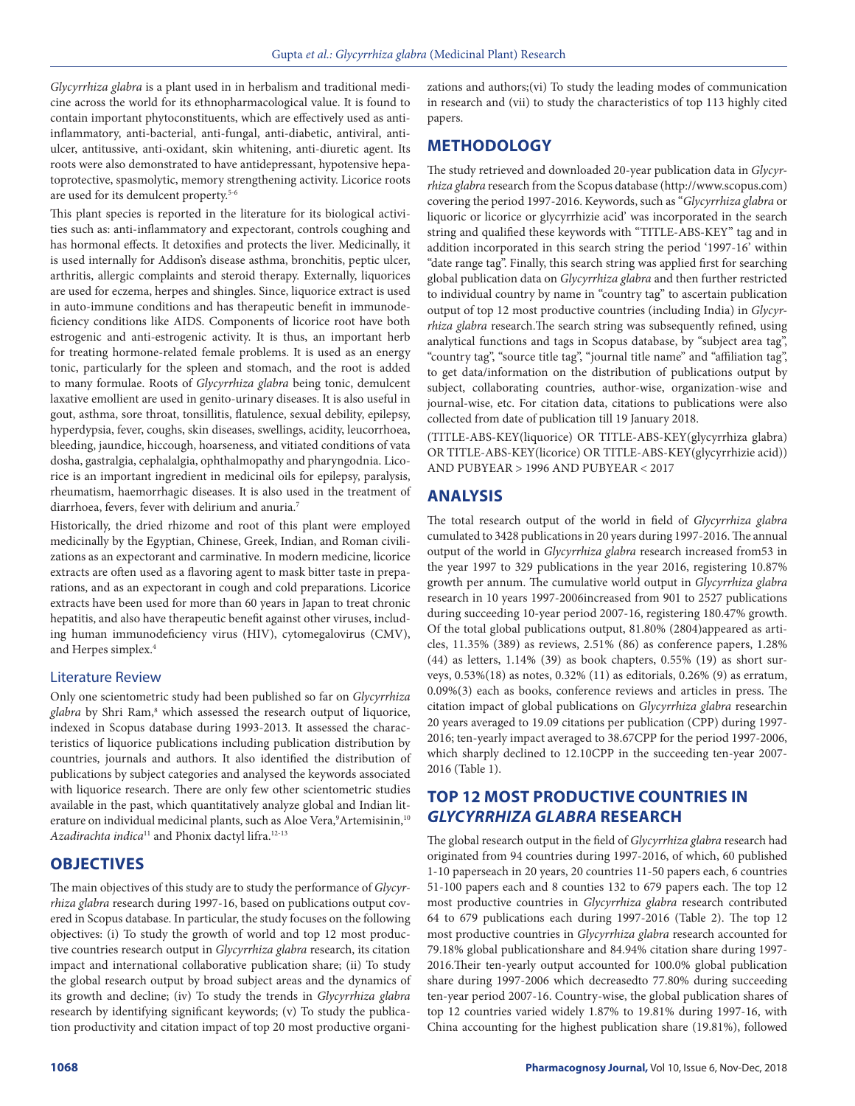*Glycyrrhiza glabra* is a plant used in in herbalism and traditional medicine across the world for its ethnopharmacological value. It is found to contain important phytoconstituents, which are effectively used as antiinflammatory, anti-bacterial, anti-fungal, anti-diabetic, antiviral, antiulcer, antitussive, anti-oxidant, skin whitening, anti-diuretic agent. Its roots were also demonstrated to have antidepressant, hypotensive hepatoprotective, spasmolytic, memory strengthening activity. Licorice roots are used for its demulcent property.5-6

This plant species is reported in the literature for its biological activities such as: anti-inflammatory and expectorant, controls coughing and has hormonal effects. It detoxifies and protects the liver. Medicinally, it is used internally for Addison's disease asthma, bronchitis, peptic ulcer, arthritis, allergic complaints and steroid therapy. Externally, liquorices are used for eczema, herpes and shingles. Since, liquorice extract is used in auto-immune conditions and has therapeutic benefit in immunodeficiency conditions like AIDS. Components of licorice root have both estrogenic and anti-estrogenic activity. It is thus, an important herb for treating hormone-related female problems. It is used as an energy tonic, particularly for the spleen and stomach, and the root is added to many formulae. Roots of *Glycyrrhiza glabra* being tonic, demulcent laxative emollient are used in genito-urinary diseases. It is also useful in gout, asthma, sore throat, tonsillitis, flatulence, sexual debility, epilepsy, hyperdypsia, fever, coughs, skin diseases, swellings, acidity, leucorrhoea, bleeding, jaundice, hiccough, hoarseness, and vitiated conditions of vata dosha, gastralgia, cephalalgia, ophthalmopathy and pharyngodnia. Licorice is an important ingredient in medicinal oils for epilepsy, paralysis, rheumatism, haemorrhagic diseases. It is also used in the treatment of diarrhoea, fevers, fever with delirium and anuria.7

Historically, the dried rhizome and root of this plant were employed medicinally by the Egyptian, Chinese, Greek, Indian, and Roman civilizations as an expectorant and carminative. In modern medicine, licorice extracts are often used as a flavoring agent to mask bitter taste in preparations, and as an expectorant in cough and cold preparations. Licorice extracts have been used for more than 60 years in Japan to treat chronic hepatitis, and also have therapeutic benefit against other viruses, including human immunodeficiency virus (HIV), cytomegalovirus (CMV), and Herpes simplex.<sup>4</sup>

#### Literature Review

Only one scientometric study had been published so far on *Glycyrrhiza*  glabra by Shri Ram,<sup>8</sup> which assessed the research output of liquorice, indexed in Scopus database during 1993-2013. It assessed the characteristics of liquorice publications including publication distribution by countries, journals and authors. It also identified the distribution of publications by subject categories and analysed the keywords associated with liquorice research. There are only few other scientometric studies available in the past, which quantitatively analyze global and Indian literature on individual medicinal plants, such as Aloe Vera,<sup>9</sup>Artemisinin,<sup>10</sup> *Azadirachta indica*11 and Phonix dactyl lifra.12-13

#### **OBJECTIVES**

The main objectives of this study are to study the performance of *Glycyrrhiza glabra* research during 1997-16, based on publications output covered in Scopus database. In particular, the study focuses on the following objectives: (i) To study the growth of world and top 12 most productive countries research output in *Glycyrrhiza glabra* research, its citation impact and international collaborative publication share; (ii) To study the global research output by broad subject areas and the dynamics of its growth and decline; (iv) To study the trends in *Glycyrrhiza glabra* research by identifying significant keywords; (v) To study the publication productivity and citation impact of top 20 most productive organizations and authors;(vi) To study the leading modes of communication in research and (vii) to study the characteristics of top 113 highly cited papers.

## **METHODOLOGY**

The study retrieved and downloaded 20-year publication data in *Glycyrrhiza glabra* research from the Scopus database (http://www.scopus.com) covering the period 1997-2016. Keywords, such as "*Glycyrrhiza glabra* or liquoric or licorice or glycyrrhizie acid' was incorporated in the search string and qualified these keywords with "TITLE-ABS-KEY" tag and in addition incorporated in this search string the period '1997-16' within "date range tag". Finally, this search string was applied first for searching global publication data on *Glycyrrhiza glabra* and then further restricted to individual country by name in "country tag" to ascertain publication output of top 12 most productive countries (including India) in *Glycyrrhiza glabra* research.The search string was subsequently refined, using analytical functions and tags in Scopus database, by "subject area tag", "country tag", "source title tag", "journal title name" and "affiliation tag", to get data/information on the distribution of publications output by subject, collaborating countries, author-wise, organization-wise and journal-wise, etc. For citation data, citations to publications were also collected from date of publication till 19 January 2018.

(TITLE-ABS-KEY(liquorice) OR TITLE-ABS-KEY(glycyrrhiza glabra) OR TITLE-ABS-KEY(licorice) OR TITLE-ABS-KEY(glycyrrhizie acid)) AND PUBYEAR > 1996 AND PUBYEAR < 2017

## **ANALYSIS**

The total research output of the world in field of *Glycyrrhiza glabra* cumulated to 3428 publications in 20 years during 1997-2016. The annual output of the world in *Glycyrrhiza glabra* research increased from53 in the year 1997 to 329 publications in the year 2016, registering 10.87% growth per annum. The cumulative world output in *Glycyrrhiza glabra* research in 10 years 1997-2006increased from 901 to 2527 publications during succeeding 10-year period 2007-16, registering 180.47% growth. Of the total global publications output, 81.80% (2804)appeared as articles, 11.35% (389) as reviews, 2.51% (86) as conference papers, 1.28% (44) as letters, 1.14% (39) as book chapters, 0.55% (19) as short surveys, 0.53%(18) as notes, 0.32% (11) as editorials, 0.26% (9) as erratum, 0.09%(3) each as books, conference reviews and articles in press. The citation impact of global publications on *Glycyrrhiza glabra* researchin 20 years averaged to 19.09 citations per publication (CPP) during 1997- 2016; ten-yearly impact averaged to 38.67CPP for the period 1997-2006, which sharply declined to 12.10CPP in the succeeding ten-year 2007- 2016 (Table 1).

# **TOP 12 MOST PRODUCTIVE COUNTRIES IN**  *GLYCYRRHIZA GLABRA* **RESEARCH**

The global research output in the field of *Glycyrrhiza glabra* research had originated from 94 countries during 1997-2016, of which, 60 published 1-10 paperseach in 20 years, 20 countries 11-50 papers each, 6 countries 51-100 papers each and 8 counties 132 to 679 papers each. The top 12 most productive countries in *Glycyrrhiza glabra* research contributed 64 to 679 publications each during 1997-2016 (Table 2). The top 12 most productive countries in *Glycyrrhiza glabra* research accounted for 79.18% global publicationshare and 84.94% citation share during 1997- 2016.Their ten-yearly output accounted for 100.0% global publication share during 1997-2006 which decreasedto 77.80% during succeeding ten-year period 2007-16. Country-wise, the global publication shares of top 12 countries varied widely 1.87% to 19.81% during 1997-16, with China accounting for the highest publication share (19.81%), followed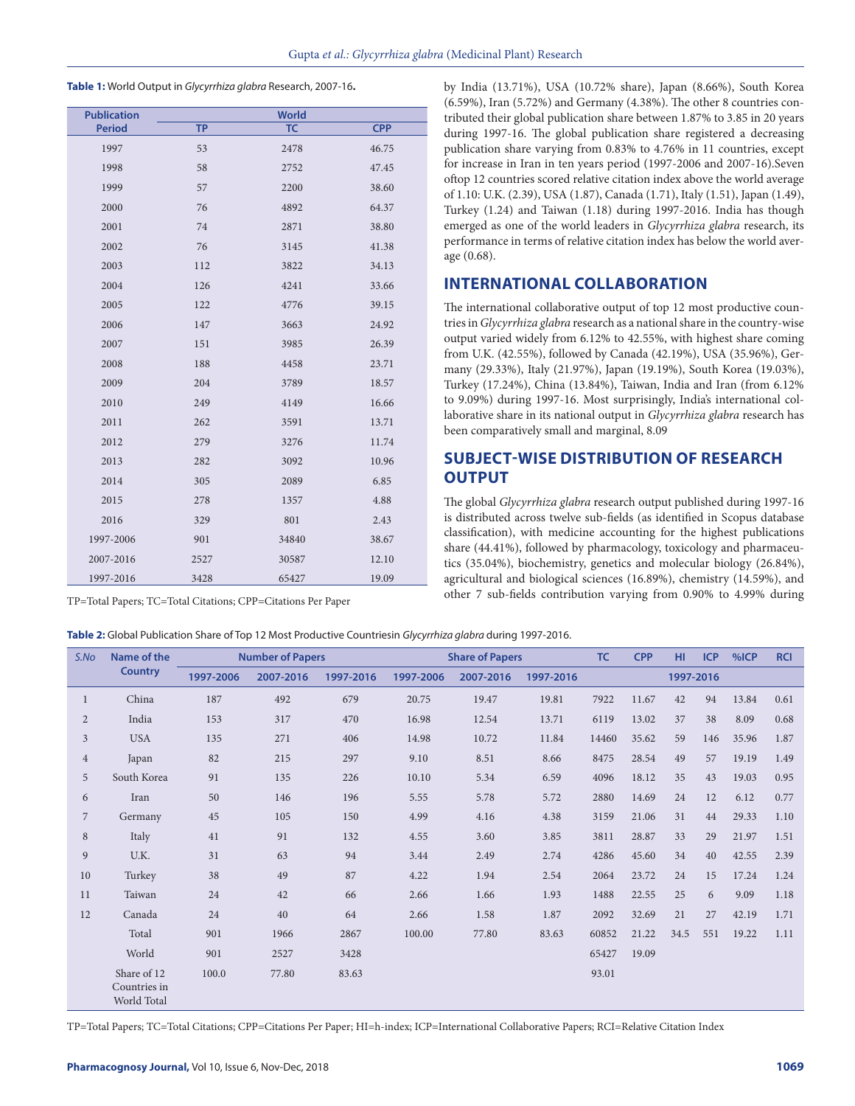**Table 1:** World Output in *Glycyrrhiza glabra* Research, 2007-16**.**

| <b>Publication</b> |           | <b>World</b> |            |
|--------------------|-----------|--------------|------------|
| <b>Period</b>      | <b>TP</b> | <b>TC</b>    | <b>CPP</b> |
| 1997               | 53        | 2478         | 46.75      |
| 1998               | 58        | 2752         | 47.45      |
| 1999               | 57        | 2200         | 38.60      |
| 2000               | 76        | 4892         | 64.37      |
| 2001               | 74        | 2871         | 38.80      |
| 2002               | 76        | 3145         | 41.38      |
| 2003               | 112       | 3822         | 34.13      |
| 2004               | 126       | 4241         | 33.66      |
| 2005               | 122       | 4776         | 39.15      |
| 2006               | 147       | 3663         | 24.92      |
| 2007               | 151       | 3985         | 26.39      |
| 2008               | 188       | 4458         | 23.71      |
| 2009               | 204       | 3789         | 18.57      |
| 2010               | 249       | 4149         | 16.66      |
| 2011               | 262       | 3591         | 13.71      |
| 2012               | 279       | 3276         | 11.74      |
| 2013               | 282       | 3092         | 10.96      |
| 2014               | 305       | 2089         | 6.85       |
| 2015               | 278       | 1357         | 4.88       |
| 2016               | 329       | 801          | 2.43       |
| 1997-2006          | 901       | 34840        | 38.67      |
| 2007-2016          | 2527      | 30587        | 12.10      |
| 1997-2016          | 3428      | 65427        | 19.09      |

TP=Total Papers; TC=Total Citations; CPP=Citations Per Paper

**Table 2:** Global Publication Share of Top 12 Most Productive Countriesin *Glycyrrhiza glabra* during 1997-2016.

by India (13.71%), USA (10.72% share), Japan (8.66%), South Korea (6.59%), Iran (5.72%) and Germany (4.38%). The other 8 countries contributed their global publication share between 1.87% to 3.85 in 20 years during 1997-16. The global publication share registered a decreasing publication share varying from 0.83% to 4.76% in 11 countries, except for increase in Iran in ten years period (1997-2006 and 2007-16).Seven oftop 12 countries scored relative citation index above the world average of 1.10: U.K. (2.39), USA (1.87), Canada (1.71), Italy (1.51), Japan (1.49), Turkey (1.24) and Taiwan (1.18) during 1997-2016. India has though emerged as one of the world leaders in *Glycyrrhiza glabra* research, its performance in terms of relative citation index has below the world average (0.68).

## **INTERNATIONAL COLLABORATION**

The international collaborative output of top 12 most productive countries in *Glycyrrhiza glabra* research as a national share in the country-wise output varied widely from 6.12% to 42.55%, with highest share coming from U.K. (42.55%), followed by Canada (42.19%), USA (35.96%), Germany (29.33%), Italy (21.97%), Japan (19.19%), South Korea (19.03%), Turkey (17.24%), China (13.84%), Taiwan, India and Iran (from 6.12% to 9.09%) during 1997-16. Most surprisingly, India's international collaborative share in its national output in *Glycyrrhiza glabra* research has been comparatively small and marginal, 8.09

# **SUBJECT-WISE DISTRIBUTION OF RESEARCH OUTPUT**

The global *Glycyrrhiza glabra* research output published during 1997-16 is distributed across twelve sub-fields (as identified in Scopus database classification), with medicine accounting for the highest publications share (44.41%), followed by pharmacology, toxicology and pharmaceutics (35.04%), biochemistry, genetics and molecular biology (26.84%), agricultural and biological sciences (16.89%), chemistry (14.59%), and other 7 sub-fields contribution varying from 0.90% to 4.99% during

| S.No           | Name of the                                | <b>Number of Papers</b> |           |           |           | <b>Share of Papers</b> |           |       | <b>CPP</b> | HI.       | <b>ICP</b> | %ICP  | <b>RCI</b> |
|----------------|--------------------------------------------|-------------------------|-----------|-----------|-----------|------------------------|-----------|-------|------------|-----------|------------|-------|------------|
|                | <b>Country</b>                             | 1997-2006               | 2007-2016 | 1997-2016 | 1997-2006 | 2007-2016              | 1997-2016 |       |            | 1997-2016 |            |       |            |
| $\mathbf{1}$   | China                                      | 187                     | 492       | 679       | 20.75     | 19.47                  | 19.81     | 7922  | 11.67      | 42        | 94         | 13.84 | 0.61       |
| $\overline{2}$ | India                                      | 153                     | 317       | 470       | 16.98     | 12.54                  | 13.71     | 6119  | 13.02      | 37        | 38         | 8.09  | 0.68       |
| $\overline{3}$ | <b>USA</b>                                 | 135                     | 271       | 406       | 14.98     | 10.72                  | 11.84     | 14460 | 35.62      | 59        | 146        | 35.96 | 1.87       |
| $\overline{4}$ | Japan                                      | 82                      | 215       | 297       | 9.10      | 8.51                   | 8.66      | 8475  | 28.54      | 49        | 57         | 19.19 | 1.49       |
| 5              | South Korea                                | 91                      | 135       | 226       | 10.10     | 5.34                   | 6.59      | 4096  | 18.12      | 35        | 43         | 19.03 | 0.95       |
| 6              | Iran                                       | 50                      | 146       | 196       | 5.55      | 5.78                   | 5.72      | 2880  | 14.69      | 24        | 12         | 6.12  | 0.77       |
| $\overline{7}$ | Germany                                    | 45                      | 105       | 150       | 4.99      | 4.16                   | 4.38      | 3159  | 21.06      | 31        | 44         | 29.33 | 1.10       |
| 8              | Italy                                      | 41                      | 91        | 132       | 4.55      | 3.60                   | 3.85      | 3811  | 28.87      | 33        | 29         | 21.97 | 1.51       |
| 9              | U.K.                                       | 31                      | 63        | 94        | 3.44      | 2.49                   | 2.74      | 4286  | 45.60      | 34        | 40         | 42.55 | 2.39       |
| 10             | Turkey                                     | 38                      | 49        | 87        | 4.22      | 1.94                   | 2.54      | 2064  | 23.72      | 24        | 15         | 17.24 | 1.24       |
| 11             | Taiwan                                     | 24                      | 42        | 66        | 2.66      | 1.66                   | 1.93      | 1488  | 22.55      | 25        | 6          | 9.09  | 1.18       |
| 12             | Canada                                     | 24                      | 40        | 64        | 2.66      | 1.58                   | 1.87      | 2092  | 32.69      | 21        | 27         | 42.19 | 1.71       |
|                | Total                                      | 901                     | 1966      | 2867      | 100.00    | 77.80                  | 83.63     | 60852 | 21.22      | 34.5      | 551        | 19.22 | 1.11       |
|                | World                                      | 901                     | 2527      | 3428      |           |                        |           | 65427 | 19.09      |           |            |       |            |
|                | Share of 12<br>Countries in<br>World Total | 100.0                   | 77.80     | 83.63     |           |                        |           | 93.01 |            |           |            |       |            |

TP=Total Papers; TC=Total Citations; CPP=Citations Per Paper; HI=h-index; ICP=International Collaborative Papers; RCI=Relative Citation Index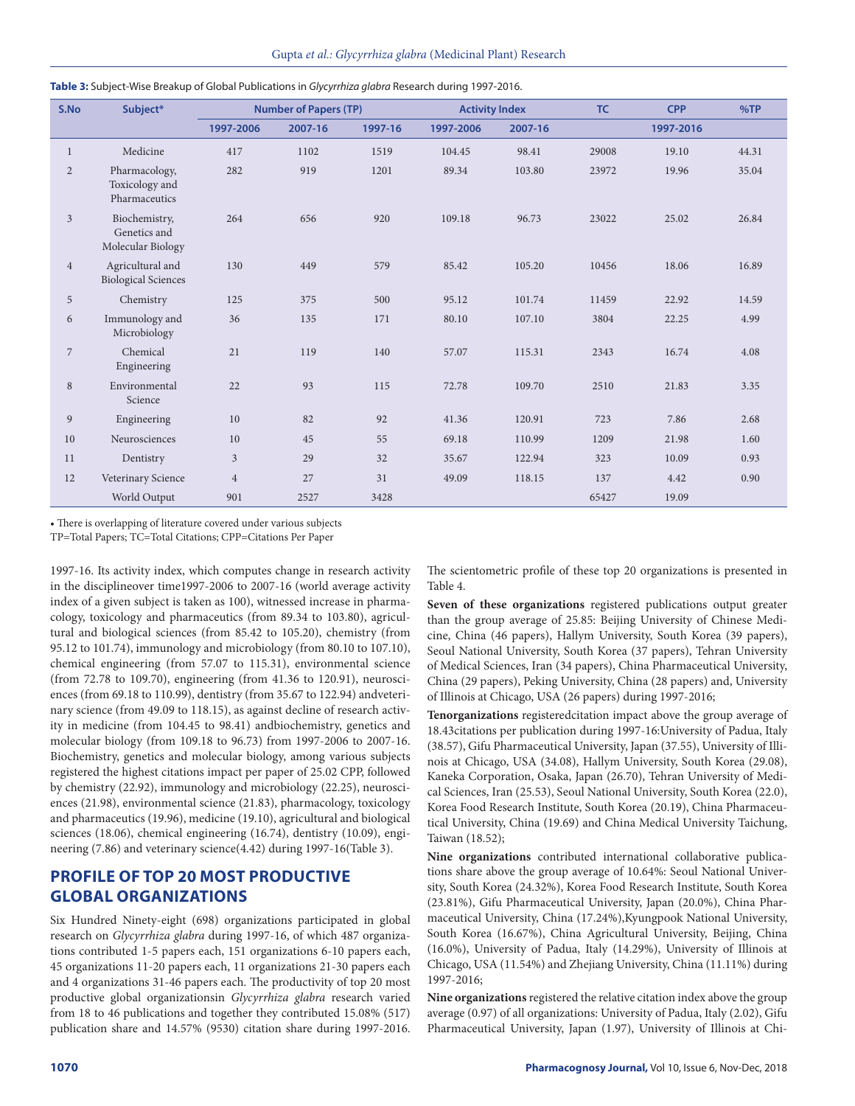| S.No           | Subject*                                           |                | <b>Number of Papers (TP)</b> |         |           | <b>Activity Index</b> | TC    | <b>CPP</b> | %TP   |
|----------------|----------------------------------------------------|----------------|------------------------------|---------|-----------|-----------------------|-------|------------|-------|
|                |                                                    | 1997-2006      | 2007-16                      | 1997-16 | 1997-2006 | 2007-16               |       | 1997-2016  |       |
| 1              | Medicine                                           | 417            | 1102                         | 1519    | 104.45    | 98.41                 | 29008 | 19.10      | 44.31 |
| $\overline{2}$ | Pharmacology,<br>Toxicology and<br>Pharmaceutics   | 282            | 919                          | 1201    | 89.34     | 103.80                | 23972 | 19.96      | 35.04 |
| $\overline{3}$ | Biochemistry,<br>Genetics and<br>Molecular Biology | 264            | 656                          | 920     | 109.18    | 96.73                 | 23022 | 25.02      | 26.84 |
| $\overline{4}$ | Agricultural and<br><b>Biological Sciences</b>     | 130            | 449                          | 579     | 85.42     | 105.20                | 10456 | 18.06      | 16.89 |
| 5              | Chemistry                                          | 125            | 375                          | 500     | 95.12     | 101.74                | 11459 | 22.92      | 14.59 |
| 6              | Immunology and<br>Microbiology                     | 36             | 135                          | 171     | 80.10     | 107.10                | 3804  | 22.25      | 4.99  |
| $\overline{7}$ | Chemical<br>Engineering                            | 21             | 119                          | 140     | 57.07     | 115.31                | 2343  | 16.74      | 4.08  |
| 8              | Environmental<br>Science                           | 22             | 93                           | 115     | 72.78     | 109.70                | 2510  | 21.83      | 3.35  |
| 9              | Engineering                                        | 10             | 82                           | 92      | 41.36     | 120.91                | 723   | 7.86       | 2.68  |
| 10             | Neurosciences                                      | 10             | 45                           | 55      | 69.18     | 110.99                | 1209  | 21.98      | 1.60  |
| 11             | Dentistry                                          | $\mathfrak{Z}$ | 29                           | 32      | 35.67     | 122.94                | 323   | 10.09      | 0.93  |
| 12             | Veterinary Science                                 | $\overline{4}$ | 27                           | 31      | 49.09     | 118.15                | 137   | 4.42       | 0.90  |
|                | World Output                                       | 901            | 2527                         | 3428    |           |                       | 65427 | 19.09      |       |

**Table 3:** Subject-Wise Breakup of Global Publications in *Glycyrrhiza glabra* Research during 1997-2016.

• There is overlapping of literature covered under various subjects

TP=Total Papers; TC=Total Citations; CPP=Citations Per Paper

1997-16. Its activity index, which computes change in research activity in the disciplineover time1997-2006 to 2007-16 (world average activity index of a given subject is taken as 100), witnessed increase in pharmacology, toxicology and pharmaceutics (from 89.34 to 103.80), agricultural and biological sciences (from 85.42 to 105.20), chemistry (from 95.12 to 101.74), immunology and microbiology (from 80.10 to 107.10), chemical engineering (from 57.07 to 115.31), environmental science (from 72.78 to 109.70), engineering (from 41.36 to 120.91), neurosciences (from 69.18 to 110.99), dentistry (from 35.67 to 122.94) andveterinary science (from 49.09 to 118.15), as against decline of research activity in medicine (from 104.45 to 98.41) andbiochemistry, genetics and molecular biology (from 109.18 to 96.73) from 1997-2006 to 2007-16. Biochemistry, genetics and molecular biology, among various subjects registered the highest citations impact per paper of 25.02 CPP, followed by chemistry (22.92), immunology and microbiology (22.25), neurosciences (21.98), environmental science (21.83), pharmacology, toxicology and pharmaceutics (19.96), medicine (19.10), agricultural and biological sciences (18.06), chemical engineering (16.74), dentistry (10.09), engineering (7.86) and veterinary science(4.42) during 1997-16(Table 3).

## **PROFILE OF TOP 20 MOST PRODUCTIVE GLOBAL ORGANIZATIONS**

Six Hundred Ninety-eight (698) organizations participated in global research on *Glycyrrhiza glabra* during 1997-16, of which 487 organizations contributed 1-5 papers each, 151 organizations 6-10 papers each, 45 organizations 11-20 papers each, 11 organizations 21-30 papers each and 4 organizations 31-46 papers each. The productivity of top 20 most productive global organizationsin *Glycyrrhiza glabra* research varied from 18 to 46 publications and together they contributed 15.08% (517) publication share and 14.57% (9530) citation share during 1997-2016.

The scientometric profile of these top 20 organizations is presented in Table 4.

**Seven of these organizations** registered publications output greater than the group average of 25.85: Beijing University of Chinese Medicine, China (46 papers), Hallym University, South Korea (39 papers), Seoul National University, South Korea (37 papers), Tehran University of Medical Sciences, Iran (34 papers), China Pharmaceutical University, China (29 papers), Peking University, China (28 papers) and, University of Illinois at Chicago, USA (26 papers) during 1997-2016;

**Tenorganizations** registeredcitation impact above the group average of 18.43citations per publication during 1997-16:University of Padua, Italy (38.57), Gifu Pharmaceutical University, Japan (37.55), University of Illinois at Chicago, USA (34.08), Hallym University, South Korea (29.08), Kaneka Corporation, Osaka, Japan (26.70), Tehran University of Medical Sciences, Iran (25.53), Seoul National University, South Korea (22.0), Korea Food Research Institute, South Korea (20.19), China Pharmaceutical University, China (19.69) and China Medical University Taichung, Taiwan (18.52);

**Nine organizations** contributed international collaborative publications share above the group average of 10.64%: Seoul National University, South Korea (24.32%), Korea Food Research Institute, South Korea (23.81%), Gifu Pharmaceutical University, Japan (20.0%), China Pharmaceutical University, China (17.24%),Kyungpook National University, South Korea (16.67%), China Agricultural University, Beijing, China (16.0%), University of Padua, Italy (14.29%), University of Illinois at Chicago, USA (11.54%) and Zhejiang University, China (11.11%) during 1997-2016;

**Nine organizations** registered the relative citation index above the group average (0.97) of all organizations: University of Padua, Italy (2.02), Gifu Pharmaceutical University, Japan (1.97), University of Illinois at Chi-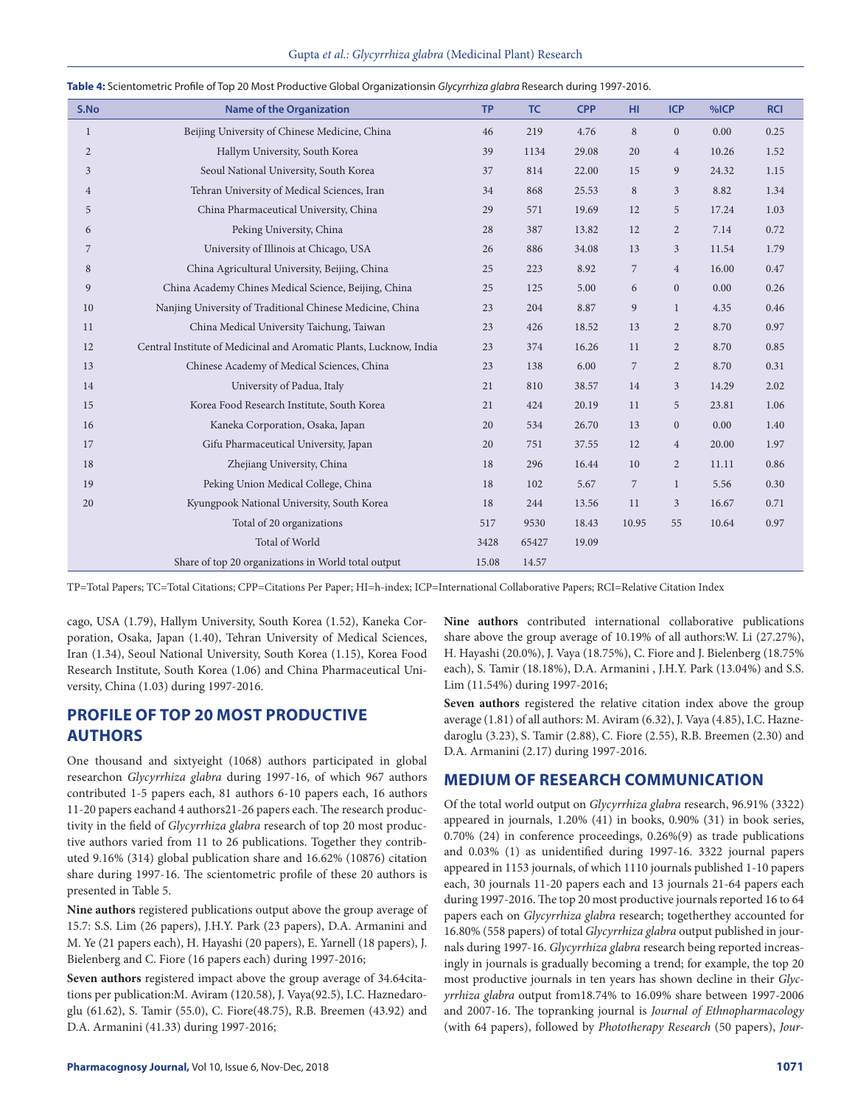|  | Gupta et al.: Glycyrrhiza glabra (Medicinal Plant) Research |  |  |
|--|-------------------------------------------------------------|--|--|
|--|-------------------------------------------------------------|--|--|

| S.No           | <b>Name of the Organization</b>                                    | <b>TP</b> | TC    | <b>CPP</b> | HI.            | <b>ICP</b>     | %ICP  | <b>RCI</b> |
|----------------|--------------------------------------------------------------------|-----------|-------|------------|----------------|----------------|-------|------------|
| 1              | Beijing University of Chinese Medicine, China                      | 46        | 219   | 4.76       | 8              | $\overline{0}$ | 0.00  | 0.25       |
| $\overline{2}$ | Hallym University, South Korea                                     | 39        | 1134  | 29.08      | 20             | $\overline{4}$ | 10.26 | 1.52       |
| 3              | Seoul National University, South Korea                             | 37        | 814   | 22.00      | 15             | 9              | 24.32 | 1.15       |
| $\overline{4}$ | Tehran University of Medical Sciences, Iran                        | 34        | 868   | 25.53      | 8              | $\mathfrak{Z}$ | 8.82  | 1.34       |
| 5              | China Pharmaceutical University, China                             | 29        | 571   | 19.69      | 12             | 5              | 17.24 | 1.03       |
| 6              | Peking University, China                                           | 28        | 387   | 13.82      | 12             | $\overline{2}$ | 7.14  | 0.72       |
| 7              | University of Illinois at Chicago, USA                             | 26        | 886   | 34.08      | 13             | 3              | 11.54 | 1.79       |
| 8              | China Agricultural University, Beijing, China                      | 25        | 223   | 8.92       | $\overline{7}$ | $\overline{4}$ | 16.00 | 0.47       |
| 9              | China Academy Chines Medical Science, Beijing, China               | 25        | 125   | 5.00       | 6              | $\overline{0}$ | 0.00  | 0.26       |
| 10             | Nanjing University of Traditional Chinese Medicine, China          | 23        | 204   | 8.87       | 9              | $\mathbf{1}$   | 4.35  | 0.46       |
| 11             | China Medical University Taichung, Taiwan                          | 23        | 426   | 18.52      | 13             | $\overline{2}$ | 8.70  | 0.97       |
| 12             | Central Institute of Medicinal and Aromatic Plants, Lucknow, India | 23        | 374   | 16.26      | 11             | $\overline{2}$ | 8.70  | 0.85       |
| 13             | Chinese Academy of Medical Sciences, China                         | 23        | 138   | 6.00       | $\overline{7}$ | $\overline{2}$ | 8.70  | 0.31       |
| 14             | University of Padua, Italy                                         | 21        | 810   | 38.57      | 14             | $\mathfrak{Z}$ | 14.29 | 2.02       |
| 15             | Korea Food Research Institute, South Korea                         | 21        | 424   | 20.19      | 11             | 5              | 23.81 | 1.06       |
| 16             | Kaneka Corporation, Osaka, Japan                                   | 20        | 534   | 26.70      | 13             | $\overline{0}$ | 0.00  | 1.40       |
| 17             | Gifu Pharmaceutical University, Japan                              | 20        | 751   | 37.55      | 12             | $\overline{4}$ | 20.00 | 1.97       |
| 18             | Zhejiang University, China                                         | 18        | 296   | 16.44      | 10             | $\overline{2}$ | 11.11 | 0.86       |
| 19             | Peking Union Medical College, China                                | 18        | 102   | 5.67       | $\overline{7}$ | $\mathbf{1}$   | 5.56  | 0.30       |
| 20             | Kyungpook National University, South Korea                         | 18        | 244   | 13.56      | 11             | 3              | 16.67 | 0.71       |
|                | Total of 20 organizations                                          | 517       | 9530  | 18.43      | 10.95          | 55             | 10.64 | 0.97       |
|                | Total of World                                                     | 3428      | 65427 | 19.09      |                |                |       |            |
|                | Share of top 20 organizations in World total output                | 15.08     | 14.57 |            |                |                |       |            |

| Table 4: Scientometric Profile of Top 20 Most Productive Global Organizationsin Glycyrrhiza glabra Research during 1997-2016. |  |  |
|-------------------------------------------------------------------------------------------------------------------------------|--|--|

TP=Total Papers; TC=Total Citations; CPP=Citations Per Paper; HI=h-index; ICP=International Collaborative Papers; RCI=Relative Citation Index

cago, USA (1.79), Hallym University, South Korea (1.52), Kaneka Corporation, Osaka, Japan (1.40), Tehran University of Medical Sciences, Iran (1.34), Seoul National University, South Korea (1.15), Korea Food Research Institute, South Korea (1.06) and China Pharmaceutical University, China (1.03) during 1997-2016.

# **PROFILE OF TOP 20 MOST PRODUCTIVE AUTHORS**

One thousand and sixtyeight (1068) authors participated in global researchon *Glycyrrhiza glabra* during 1997-16, of which 967 authors contributed 1-5 papers each, 81 authors 6-10 papers each, 16 authors 11-20 papers eachand 4 authors21-26 papers each. The research productivity in the field of *Glycyrrhiza glabra* research of top 20 most productive authors varied from 11 to 26 publications. Together they contributed 9.16% (314) global publication share and 16.62% (10876) citation share during 1997-16. The scientometric profile of these 20 authors is presented in Table 5.

**Nine authors** registered publications output above the group average of 15.7: S.S. Lim (26 papers), J.H.Y. Park (23 papers), D.A. Armanini and M. Ye (21 papers each), H. Hayashi (20 papers), E. Yarnell (18 papers), J. Bielenberg and C. Fiore (16 papers each) during 1997-2016;

**Seven authors** registered impact above the group average of 34.64citations per publication:M. Aviram (120.58), J. Vaya(92.5), I.C. Haznedaroglu (61.62), S. Tamir (55.0), C. Fiore(48.75), R.B. Breemen (43.92) and D.A. Armanini (41.33) during 1997-2016;

**Nine authors** contributed international collaborative publications share above the group average of 10.19% of all authors:W. Li (27.27%), H. Hayashi (20.0%), J. Vaya (18.75%), C. Fiore and J. Bielenberg (18.75% each), S. Tamir (18.18%), D.A. Armanini , J.H.Y. Park (13.04%) and S.S. Lim (11.54%) during 1997-2016;

**Seven authors** registered the relative citation index above the group average (1.81) of all authors: M. Aviram (6.32), J. Vaya (4.85), I.C. Haznedaroglu (3.23), S. Tamir (2.88), C. Fiore (2.55), R.B. Breemen (2.30) and D.A. Armanini (2.17) during 1997-2016.

# **MEDIUM OF RESEARCH COMMUNICATION**

Of the total world output on *Glycyrrhiza glabra* research, 96.91% (3322) appeared in journals, 1.20% (41) in books, 0.90% (31) in book series, 0.70% (24) in conference proceedings, 0.26%(9) as trade publications and 0.03% (1) as unidentified during 1997-16. 3322 journal papers appeared in 1153 journals, of which 1110 journals published 1-10 papers each, 30 journals 11-20 papers each and 13 journals 21-64 papers each during 1997-2016. The top 20 most productive journals reported 16 to 64 papers each on *Glycyrrhiza glabra* research; togetherthey accounted for 16.80% (558 papers) of total *Glycyrrhiza glabra* output published in journals during 1997-16. *Glycyrrhiza glabra* research being reported increasingly in journals is gradually becoming a trend; for example, the top 20 most productive journals in ten years has shown decline in their *Glycyrrhiza glabra* output from18.74% to 16.09% share between 1997-2006 and 2007-16. The topranking journal is *Journal of Ethnopharmacology* (with 64 papers), followed by *Phototherapy Research* (50 papers), *Jour-*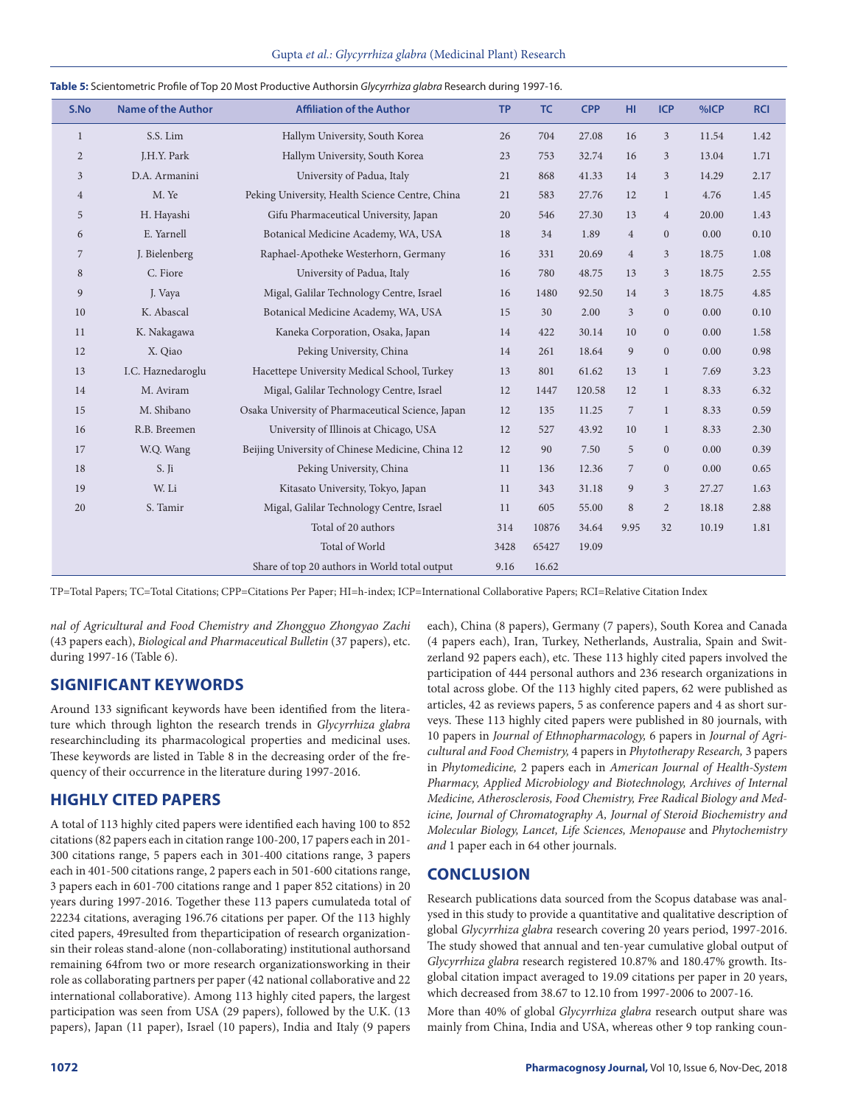| S.No           | <b>Name of the Author</b> | <b>Affiliation of the Author</b>                  | <b>TP</b> | TC    | <b>CPP</b> | HI             | <b>ICP</b>     | %ICP  | <b>RCI</b> |
|----------------|---------------------------|---------------------------------------------------|-----------|-------|------------|----------------|----------------|-------|------------|
| $\mathbf{1}$   | S.S. Lim                  | Hallym University, South Korea                    | 26        | 704   | 27.08      | 16             | $\mathfrak{Z}$ | 11.54 | 1.42       |
| $\overline{2}$ | J.H.Y. Park               | Hallym University, South Korea                    | 23        | 753   | 32.74      | 16             | 3              | 13.04 | 1.71       |
| 3              | D.A. Armanini             | University of Padua, Italy                        | 21        | 868   | 41.33      | 14             | $\mathfrak{Z}$ | 14.29 | 2.17       |
| $\overline{4}$ | M. Ye                     | Peking University, Health Science Centre, China   | 21        | 583   | 27.76      | 12             | $\mathbf{1}$   | 4.76  | 1.45       |
| 5              | H. Hayashi                | Gifu Pharmaceutical University, Japan             | 20        | 546   | 27.30      | 13             | $\overline{4}$ | 20.00 | 1.43       |
| 6              | E. Yarnell                | Botanical Medicine Academy, WA, USA               | 18        | 34    | 1.89       | $\overline{4}$ | $\mathbf{0}$   | 0.00  | 0.10       |
| 7              | J. Bielenberg             | Raphael-Apotheke Westerhorn, Germany              | 16        | 331   | 20.69      | $\overline{4}$ | $\mathfrak{Z}$ | 18.75 | 1.08       |
| 8              | C. Fiore                  | University of Padua, Italy                        | 16        | 780   | 48.75      | 13             | 3              | 18.75 | 2.55       |
| 9              | J. Vaya                   | Migal, Galilar Technology Centre, Israel          | 16        | 1480  | 92.50      | 14             | $\mathfrak{Z}$ | 18.75 | 4.85       |
| 10             | K. Abascal                | Botanical Medicine Academy, WA, USA               | 15        | 30    | 2.00       | 3              | $\mathbf{0}$   | 0.00  | 0.10       |
| 11             | K. Nakagawa               | Kaneka Corporation, Osaka, Japan                  | 14        | 422   | 30.14      | 10             | $\mathbf{0}$   | 0.00  | 1.58       |
| 12             | X. Qiao                   | Peking University, China                          | 14        | 261   | 18.64      | 9              | $\mathbf{0}$   | 0.00  | 0.98       |
| 13             | I.C. Haznedaroglu         | Hacettepe University Medical School, Turkey       | 13        | 801   | 61.62      | 13             | $\mathbf{1}$   | 7.69  | 3.23       |
| 14             | M. Aviram                 | Migal, Galilar Technology Centre, Israel          | 12        | 1447  | 120.58     | 12             | $\mathbf{1}$   | 8.33  | 6.32       |
| 15             | M. Shibano                | Osaka University of Pharmaceutical Science, Japan | 12        | 135   | 11.25      | $\overline{7}$ | $\mathbf{1}$   | 8.33  | 0.59       |
| 16             | R.B. Breemen              | University of Illinois at Chicago, USA            | 12        | 527   | 43.92      | 10             | $\mathbf{1}$   | 8.33  | 2.30       |
| 17             | W.Q. Wang                 | Beijing University of Chinese Medicine, China 12  | 12        | 90    | 7.50       | 5              | $\mathbf{0}$   | 0.00  | 0.39       |
| 18             | S. Ji                     | Peking University, China                          | 11        | 136   | 12.36      | $\overline{7}$ | $\mathbf{0}$   | 0.00  | 0.65       |
| 19             | W. Li                     | Kitasato University, Tokyo, Japan                 | 11        | 343   | 31.18      | 9              | $\mathfrak{Z}$ | 27.27 | 1.63       |
| 20             | S. Tamir                  | Migal, Galilar Technology Centre, Israel          | 11        | 605   | 55.00      | 8              | $\overline{2}$ | 18.18 | 2.88       |
|                |                           | Total of 20 authors                               | 314       | 10876 | 34.64      | 9.95           | 32             | 10.19 | 1.81       |
|                |                           | Total of World                                    | 3428      | 65427 | 19.09      |                |                |       |            |
|                |                           | Share of top 20 authors in World total output     | 9.16      | 16.62 |            |                |                |       |            |

#### **Table 5:** Scientometric Profile of Top 20 Most Productive Authorsin *Glycyrrhiza glabra* Research during 1997-16.

TP=Total Papers; TC=Total Citations; CPP=Citations Per Paper; HI=h-index; ICP=International Collaborative Papers; RCI=Relative Citation Index

*nal of Agricultural and Food Chemistry and Zhongguo Zhongyao Zachi* (43 papers each), *Biological and Pharmaceutical Bulletin* (37 papers), etc. during 1997-16 (Table 6).

## **SIGNIFICANT KEYWORDS**

Around 133 significant keywords have been identified from the literature which through lighton the research trends in *Glycyrrhiza glabra* researchincluding its pharmacological properties and medicinal uses. These keywords are listed in Table 8 in the decreasing order of the frequency of their occurrence in the literature during 1997-2016.

## **HIGHLY CITED PAPERS**

A total of 113 highly cited papers were identified each having 100 to 852 citations (82 papers each in citation range 100-200, 17 papers each in 201- 300 citations range, 5 papers each in 301-400 citations range, 3 papers each in 401-500 citations range, 2 papers each in 501-600 citations range, 3 papers each in 601-700 citations range and 1 paper 852 citations) in 20 years during 1997-2016. Together these 113 papers cumulateda total of 22234 citations, averaging 196.76 citations per paper. Of the 113 highly cited papers, 49resulted from theparticipation of research organizationsin their roleas stand-alone (non-collaborating) institutional authorsand remaining 64from two or more research organizationsworking in their role as collaborating partners per paper (42 national collaborative and 22 international collaborative). Among 113 highly cited papers, the largest participation was seen from USA (29 papers), followed by the U.K. (13 papers), Japan (11 paper), Israel (10 papers), India and Italy (9 papers each), China (8 papers), Germany (7 papers), South Korea and Canada (4 papers each), Iran, Turkey, Netherlands, Australia, Spain and Switzerland 92 papers each), etc. These 113 highly cited papers involved the participation of 444 personal authors and 236 research organizations in total across globe. Of the 113 highly cited papers, 62 were published as articles, 42 as reviews papers, 5 as conference papers and 4 as short surveys. These 113 highly cited papers were published in 80 journals, with 10 papers in *Journal of Ethnopharmacology,* 6 papers in *Journal of Agricultural and Food Chemistry,* 4 papers in *Phytotherapy Research,* 3 papers in *Phytomedicine,* 2 papers each in *American Journal of Health-System Pharmacy, Applied Microbiology and Biotechnology, Archives of Internal Medicine, Atherosclerosis, Food Chemistry, Free Radical Biology and Medicine, Journal of Chromatography A, Journal of Steroid Biochemistry and Molecular Biology, Lancet, Life Sciences, Menopause* and *Phytochemistry and* 1 paper each in 64 other journals.

## **CONCLUSION**

Research publications data sourced from the Scopus database was analysed in this study to provide a quantitative and qualitative description of global *Glycyrrhiza glabra* research covering 20 years period, 1997-2016. The study showed that annual and ten-year cumulative global output of *Glycyrrhiza glabra* research registered 10.87% and 180.47% growth. Itsglobal citation impact averaged to 19.09 citations per paper in 20 years, which decreased from 38.67 to 12.10 from 1997-2006 to 2007-16.

More than 40% of global *Glycyrrhiza glabra* research output share was mainly from China, India and USA, whereas other 9 top ranking coun-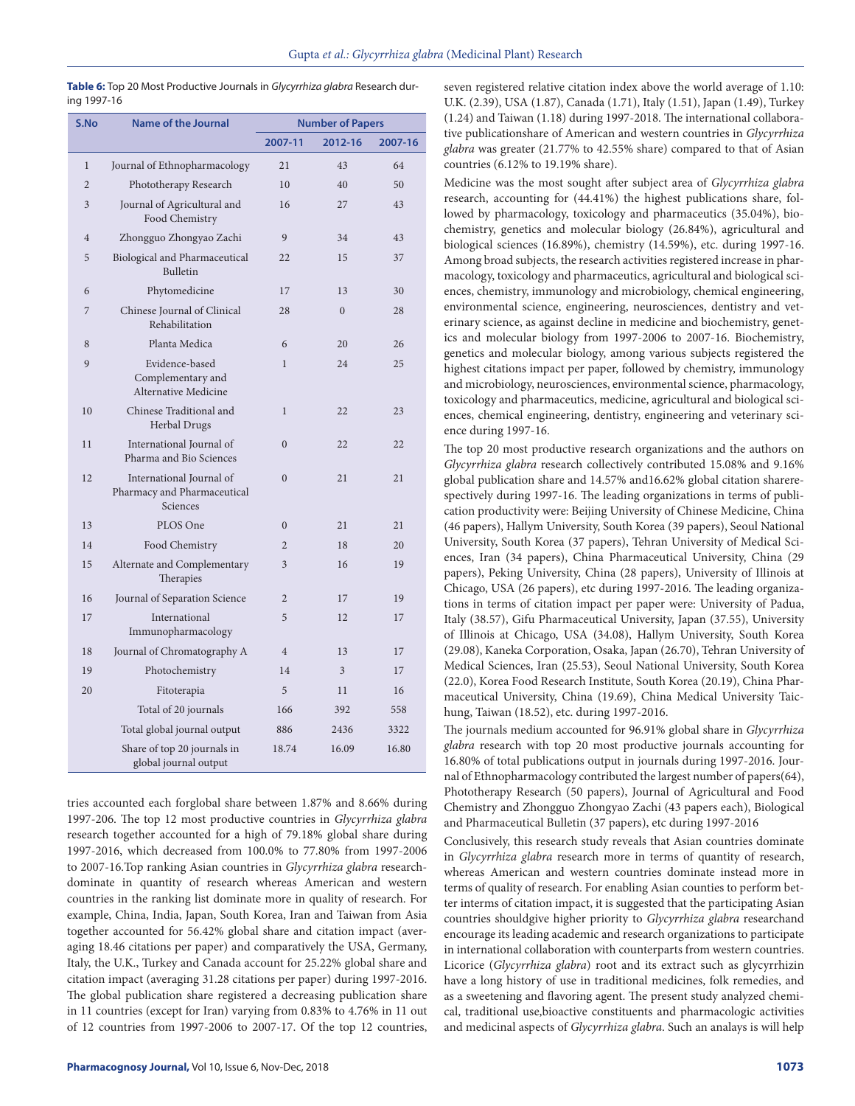| S.No           | <b>Name of the Journal</b>                                          | <b>Number of Papers</b> |          |         |
|----------------|---------------------------------------------------------------------|-------------------------|----------|---------|
|                |                                                                     | 2007-11                 | 2012-16  | 2007-16 |
| $\mathbf{1}$   | Journal of Ethnopharmacology                                        | 21                      | 43       | 64      |
| $\overline{2}$ | Phototherapy Research                                               | 10                      | 40       | 50      |
| 3              | Journal of Agricultural and<br>Food Chemistry                       | 16                      | 27       | 43      |
| $\overline{4}$ | Zhongguo Zhongyao Zachi                                             | 9                       | 34       | 43      |
| 5              | Biological and Pharmaceutical<br><b>Bulletin</b>                    | 22                      | 15       | 37      |
| 6              | Phytomedicine                                                       | 17                      | 13       | 30      |
| 7              | Chinese Journal of Clinical<br>Rehabilitation                       | 28                      | $\theta$ | 28      |
| 8              | Planta Medica                                                       | 6                       | 20       | 26      |
| 9              | Evidence-based<br>Complementary and<br>Alternative Medicine         | $\mathbf{1}$            | 24       | 25      |
| 10             | Chinese Traditional and<br>Herbal Drugs                             | $\mathbf{1}$            | 22       | 23      |
| 11             | International Journal of<br>Pharma and Bio Sciences                 | $\Omega$                | 22       | 22      |
| 12             | International Journal of<br>Pharmacy and Pharmaceutical<br>Sciences | $\Omega$                | 21       | 21      |
| 13             | PLOS One                                                            | $\mathbf{0}$            | 21       | 21      |
| 14             | Food Chemistry                                                      | $\overline{c}$          | 18       | 20      |
| 15             | Alternate and Complementary<br>Therapies                            | 3                       | 16       | 19      |
| 16             | Journal of Separation Science                                       | $\overline{2}$          | 17       | 19      |
| 17             | International<br>Immunopharmacology                                 | 5                       | 12       | 17      |
| 18             | Journal of Chromatography A                                         | $\overline{4}$          | 13       | 17      |
| 19             | Photochemistry                                                      | 14                      | 3        | 17      |
| 20             | Fitoterapia                                                         | 5                       | 11       | 16      |
|                | Total of 20 journals                                                | 166                     | 392      | 558     |
|                | Total global journal output                                         | 886                     | 2436     | 3322    |
|                | Share of top 20 journals in<br>global journal output                | 18.74                   | 16.09    | 16.80   |

**Table 6:** Top 20 Most Productive Journals in *Glycyrrhiza glabra* Research during 1997-16

tries accounted each forglobal share between 1.87% and 8.66% during 1997-206. The top 12 most productive countries in *Glycyrrhiza glabra* research together accounted for a high of 79.18% global share during 1997-2016, which decreased from 100.0% to 77.80% from 1997-2006 to 2007-16.Top ranking Asian countries in *Glycyrrhiza glabra* researchdominate in quantity of research whereas American and western countries in the ranking list dominate more in quality of research. For example, China, India, Japan, South Korea, Iran and Taiwan from Asia together accounted for 56.42% global share and citation impact (averaging 18.46 citations per paper) and comparatively the USA, Germany, Italy, the U.K., Turkey and Canada account for 25.22% global share and citation impact (averaging 31.28 citations per paper) during 1997-2016. The global publication share registered a decreasing publication share in 11 countries (except for Iran) varying from 0.83% to 4.76% in 11 out of 12 countries from 1997-2006 to 2007-17. Of the top 12 countries,

seven registered relative citation index above the world average of 1.10: U.K. (2.39), USA (1.87), Canada (1.71), Italy (1.51), Japan (1.49), Turkey (1.24) and Taiwan (1.18) during 1997-2018. The international collaborative publicationshare of American and western countries in *Glycyrrhiza glabra* was greater (21.77% to 42.55% share) compared to that of Asian countries (6.12% to 19.19% share).

Medicine was the most sought after subject area of *Glycyrrhiza glabra* research, accounting for (44.41%) the highest publications share, followed by pharmacology, toxicology and pharmaceutics (35.04%), biochemistry, genetics and molecular biology (26.84%), agricultural and biological sciences (16.89%), chemistry (14.59%), etc. during 1997-16. Among broad subjects, the research activities registered increase in pharmacology, toxicology and pharmaceutics, agricultural and biological sciences, chemistry, immunology and microbiology, chemical engineering, environmental science, engineering, neurosciences, dentistry and veterinary science, as against decline in medicine and biochemistry, genetics and molecular biology from 1997-2006 to 2007-16. Biochemistry, genetics and molecular biology, among various subjects registered the highest citations impact per paper, followed by chemistry, immunology and microbiology, neurosciences, environmental science, pharmacology, toxicology and pharmaceutics, medicine, agricultural and biological sciences, chemical engineering, dentistry, engineering and veterinary science during 1997-16.

The top 20 most productive research organizations and the authors on *Glycyrrhiza glabra* research collectively contributed 15.08% and 9.16% global publication share and 14.57% and16.62% global citation sharerespectively during 1997-16. The leading organizations in terms of publication productivity were: Beijing University of Chinese Medicine, China (46 papers), Hallym University, South Korea (39 papers), Seoul National University, South Korea (37 papers), Tehran University of Medical Sciences, Iran (34 papers), China Pharmaceutical University, China (29 papers), Peking University, China (28 papers), University of Illinois at Chicago, USA (26 papers), etc during 1997-2016. The leading organizations in terms of citation impact per paper were: University of Padua, Italy (38.57), Gifu Pharmaceutical University, Japan (37.55), University of Illinois at Chicago, USA (34.08), Hallym University, South Korea (29.08), Kaneka Corporation, Osaka, Japan (26.70), Tehran University of Medical Sciences, Iran (25.53), Seoul National University, South Korea (22.0), Korea Food Research Institute, South Korea (20.19), China Pharmaceutical University, China (19.69), China Medical University Taichung, Taiwan (18.52), etc. during 1997-2016.

The journals medium accounted for 96.91% global share in *Glycyrrhiza glabra* research with top 20 most productive journals accounting for 16.80% of total publications output in journals during 1997-2016. Journal of Ethnopharmacology contributed the largest number of papers(64), Phototherapy Research (50 papers), Journal of Agricultural and Food Chemistry and Zhongguo Zhongyao Zachi (43 papers each), Biological and Pharmaceutical Bulletin (37 papers), etc during 1997-2016

Conclusively, this research study reveals that Asian countries dominate in *Glycyrrhiza glabra* research more in terms of quantity of research, whereas American and western countries dominate instead more in terms of quality of research. For enabling Asian counties to perform better interms of citation impact, it is suggested that the participating Asian countries shouldgive higher priority to *Glycyrrhiza glabra* researchand encourage its leading academic and research organizations to participate in international collaboration with counterparts from western countries. Licorice (*Glycyrrhiza glabra*) root and its extract such as glycyrrhizin have a long history of use in traditional medicines, folk remedies, and as a sweetening and flavoring agent. The present study analyzed chemical, traditional use,bioactive constituents and pharmacologic activities and medicinal aspects of *Glycyrrhiza glabra*. Such an analays is will help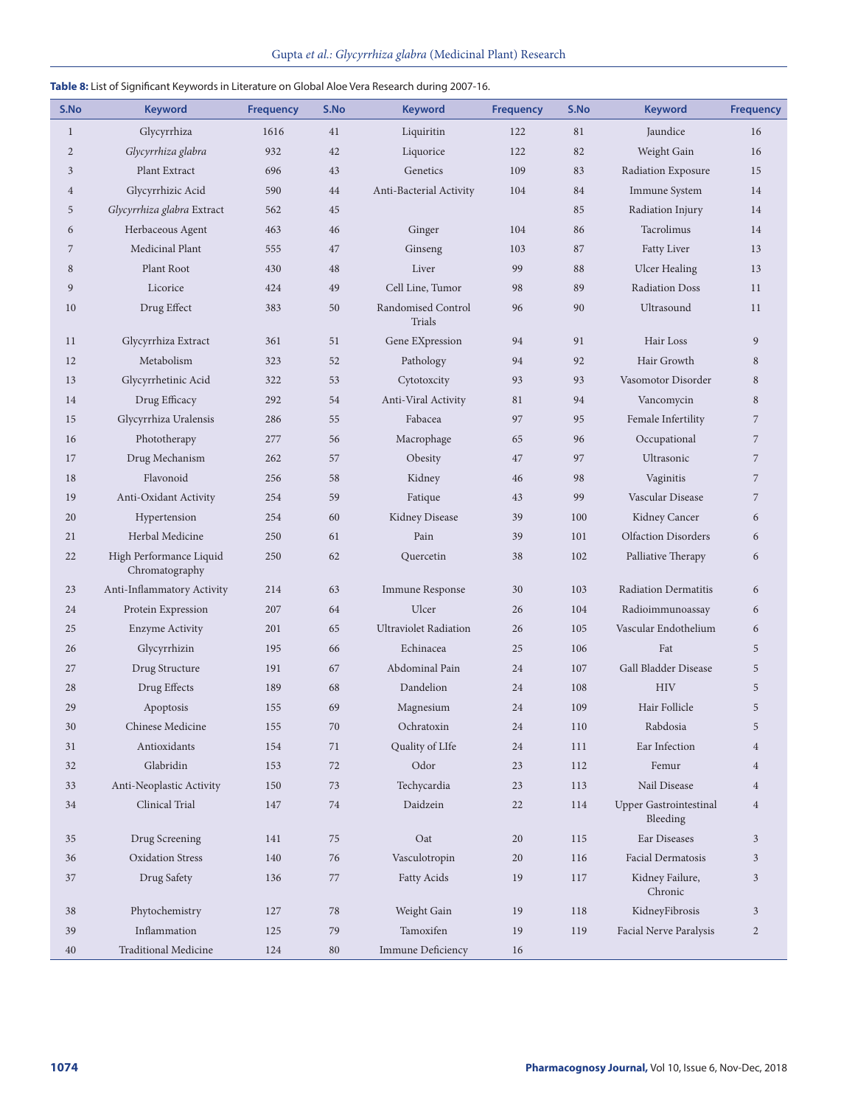#### **Table 8:** List of Significant Keywords in Literature on Global Aloe Vera Research during 2007-16.

| S.No           | <b>Keyword</b>                            | <b>Frequency</b> | S.No   | <b>Keyword</b>               | <b>Frequency</b>     | S.No    | <b>Keyword</b>                            | <b>Frequency</b> |
|----------------|-------------------------------------------|------------------|--------|------------------------------|----------------------|---------|-------------------------------------------|------------------|
| $\mathbf{1}$   | Glycyrrhiza                               | 1616             | 41     | Liquiritin                   | 122                  | 81      | Jaundice                                  | 16               |
| $\overline{2}$ | Glycyrrhiza glabra                        | 932              | 42     | Liquorice                    | 122                  | 82      | Weight Gain                               | 16               |
| $\mathfrak{Z}$ | Plant Extract                             | 696              | 43     | Genetics                     | 109                  | 83      | Radiation Exposure                        | 15               |
| $\overline{4}$ | Glycyrrhizic Acid                         | 590              | 44     | Anti-Bacterial Activity      | 104                  | 84      | Immune System                             | 14               |
| 5              | Glycyrrhiza glabra Extract                | 562              | 45     |                              |                      | 85      | Radiation Injury                          | 14               |
| 6              | Herbaceous Agent                          | 463              | 46     | Ginger                       | 104                  | 86      | Tacrolimus                                | 14               |
| $\overline{7}$ | Medicinal Plant                           | 555              | 47     | Ginseng                      | 103                  | 87      | Fatty Liver                               | 13               |
| 8              | Plant Root                                | 430              | 48     | Liver                        | 99                   | 88      | <b>Ulcer Healing</b>                      | 13               |
| 9              | Licorice                                  | 424              | 49     | Cell Line, Tumor             | 98                   | 89      | <b>Radiation Doss</b>                     | 11               |
| 10             | Drug Effect                               | 383              | 50     | Randomised Control<br>Trials | 96                   | 90      | Ultrasound                                | 11               |
| 11             | Glycyrrhiza Extract                       | 361              | 51     | Gene EXpression              | 94                   | 91      | Hair Loss                                 | 9                |
| 12             | Metabolism                                | 323              | 52     | Pathology                    | 94                   | 92      | Hair Growth                               | 8                |
| 13             | Glycyrrhetinic Acid                       | 322              | 53     | Cytotoxcity                  | 93                   | 93      | Vasomotor Disorder                        | 8                |
| 14             | Drug Efficacy                             | 292              | 54     | Anti-Viral Activity          | 81                   | 94      | Vancomycin                                | 8                |
| 15             | Glycyrrhiza Uralensis                     | 286              | 55     | Fabacea                      | 97                   | 95      | Female Infertility                        | $\overline{7}$   |
| 16             | Phototherapy                              | 277              | 56     | Macrophage                   | 65                   | 96      | Occupational                              | 7                |
| 17             | Drug Mechanism                            | 262              | 57     | Obesity                      | 47                   | 97      | Ultrasonic                                | 7                |
| 18             | Flavonoid                                 | 256              | 58     | Kidney                       | 46                   | 98      | Vaginitis                                 | $\overline{7}$   |
| 19             | Anti-Oxidant Activity                     | 254              | 59     | Fatique                      | 43                   | 99      | Vascular Disease                          | 7                |
| 20             | Hypertension                              | 254              | 60     | Kidney Disease               | 39                   | 100     | Kidney Cancer                             | 6                |
| 21             | Herbal Medicine                           | 250              | 61     | Pain                         | 39                   | 101     | <b>Olfaction Disorders</b>                | 6                |
| 22             | High Performance Liquid<br>Chromatography | 250              | 62     | Quercetin                    | 38                   | 102     | Palliative Therapy                        | 6                |
| 23             | Anti-Inflammatory Activity                | 214              | 63     | Immune Response              | 30                   | 103     | <b>Radiation Dermatitis</b>               | 6                |
| 24             | Protein Expression                        | 207              | 64     | Ulcer                        | 26                   | 104     | Radioimmunoassay                          | 6                |
| 25             | <b>Enzyme Activity</b>                    | 201              | 65     | <b>Ultraviolet Radiation</b> | 26                   | 105     | Vascular Endothelium                      | 6                |
| 26             | Glycyrrhizin                              | 195              | 66     | Echinacea                    | 25                   | 106     | Fat                                       | 5                |
| 27             | Drug Structure                            | 191              | 67     | Abdominal Pain               | 24                   | 107     | <b>Gall Bladder Disease</b>               | 5                |
| 28             | Drug Effects                              | 189              | 68     | Dandelion                    | 24                   | 108     | <b>HIV</b>                                | 5                |
| 29             | Apoptosis                                 | 155              | 69     | Magnesium                    | 24                   | 109     | Hair Follicle                             | 5                |
| $30\,$         | Chinese Medicine                          | $155\,$          | $70\,$ | Ochratoxin                   | $\ensuremath{^{24}}$ | $110\,$ | Rabdosia                                  | 5                |
| 31             | Antioxidants                              | 154              | 71     | Quality of LIfe              | 24                   | 111     | Ear Infection                             | $\overline{4}$   |
| 32             | Glabridin                                 | 153              | 72     | Odor                         | 23                   | 112     | Femur                                     | $\overline{4}$   |
| 33             | Anti-Neoplastic Activity                  | 150              | 73     | Techycardia                  | 23                   | 113     | Nail Disease                              | $\overline{4}$   |
| 34             | Clinical Trial                            | 147              | 74     | Daidzein                     | 22                   | 114     | <b>Upper Gastrointestinal</b><br>Bleeding | $\overline{4}$   |
| 35             | Drug Screening                            | 141              | 75     | Oat                          | 20                   | 115     | Ear Diseases                              | 3                |
| 36             | <b>Oxidation Stress</b>                   | 140              | 76     | Vasculotropin                | 20                   | 116     | <b>Facial Dermatosis</b>                  | 3                |
| 37             | Drug Safety                               | 136              | 77     | <b>Fatty Acids</b>           | 19                   | 117     | Kidney Failure,<br>Chronic                | 3                |
| 38             | Phytochemistry                            | 127              | 78     | Weight Gain                  | 19                   | 118     | KidneyFibrosis                            | 3                |
| 39             | Inflammation                              | 125              | 79     | Tamoxifen                    | 19                   | 119     | Facial Nerve Paralysis                    | $\overline{c}$   |
| 40             | <b>Traditional Medicine</b>               | 124              | $80\,$ | Immune Deficiency            | 16                   |         |                                           |                  |